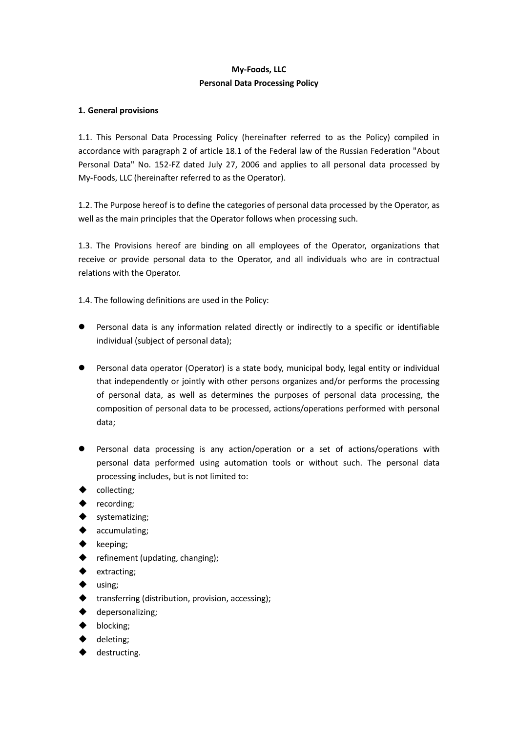# **My-Foods, LLC Personal Data Processing Policy**

## **1. General provisions**

1.1. This Personal Data Processing Policy (hereinafter referred to as the Policy) compiled in accordance with paragraph 2 of article 18.1 of the Federal law of the Russian Federation "About Personal Data" No. 152-FZ dated July 27, 2006 and applies to all personal data processed by My-Foods, LLC (hereinafter referred to as the Operator).

1.2. The Purpose hereof is to define the categories of personal data processed by the Operator, as well as the main principles that the Operator follows when processing such.

1.3. The Provisions hereof are binding on all employees of the Operator, organizations that receive or provide personal data to the Operator, and all individuals who are in contractual relations with the Operator.

1.4. The following definitions are used in the Policy:

- Personal data is any information related directly or indirectly to a specific or identifiable individual (subject of personal data);
- Personal data operator (Operator) is a state body, municipal body, legal entity or individual that independently or jointly with other persons organizes and/or performs the processing of personal data, as well as determines the purposes of personal data processing, the composition of personal data to be processed, actions/operations performed with personal data;
- Personal data processing is any action/operation or a set of actions/operations with personal data performed using automation tools or without such. The personal data processing includes, but is not limited to:
- ◆ collecting;
- recording;
- systematizing;
- accumulating;
- keeping;
- $\blacklozenge$  refinement (updating, changing);
- extracting;
- using;
- $\blacklozenge$  transferring (distribution, provision, accessing);
- depersonalizing;
- blocking;
- deleting;
- destructing.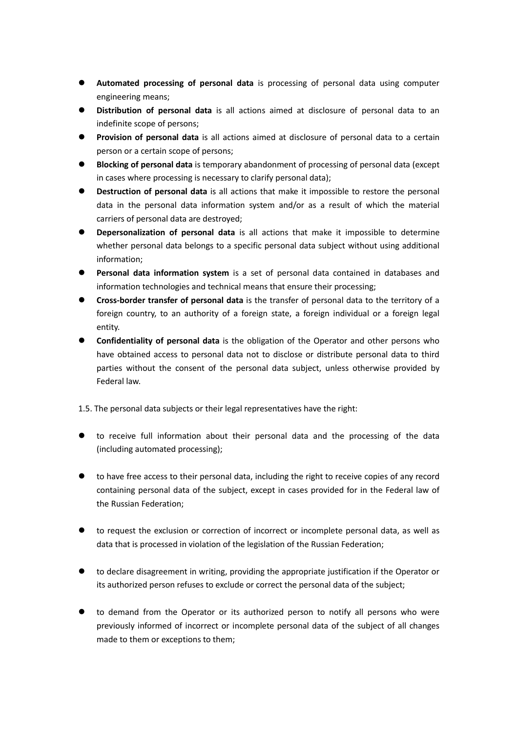- **Automated processing of personal data** is processing of personal data using computer engineering means;
- **Distribution of personal data** is all actions aimed at disclosure of personal data to an indefinite scope of persons;
- **Provision of personal data** is all actions aimed at disclosure of personal data to a certain person or a certain scope of persons;
- **Blocking of personal data** is temporary abandonment of processing of personal data (except in cases where processing is necessary to clarify personal data);
- **Destruction of personal data** is all actions that make it impossible to restore the personal data in the personal data information system and/or as a result of which the material carriers of personal data are destroyed;
- **Depersonalization of personal data** is all actions that make it impossible to determine whether personal data belongs to a specific personal data subject without using additional information;
- **Personal data information system** is a set of personal data contained in databases and information technologies and technical means that ensure their processing;
- **Cross-border transfer of personal data** is the transfer of personal data to the territory of a foreign country, to an authority of a foreign state, a foreign individual or a foreign legal entity.
- **Confidentiality of personal data** is the obligation of the Operator and other persons who have obtained access to personal data not to disclose or distribute personal data to third parties without the consent of the personal data subject, unless otherwise provided by Federal law.
- 1.5. The personal data subjects or their legal representatives have the right:
- to receive full information about their personal data and the processing of the data (including automated processing);
- to have free access to their personal data, including the right to receive copies of any record containing personal data of the subject, except in cases provided for in the Federal law of the Russian Federation;
- to request the exclusion or correction of incorrect or incomplete personal data, as well as data that is processed in violation of the legislation of the Russian Federation;
- to declare disagreement in writing, providing the appropriate justification if the Operator or its authorized person refuses to exclude or correct the personal data of the subject;
- to demand from the Operator or its authorized person to notify all persons who were previously informed of incorrect or incomplete personal data of the subject of all changes made to them or exceptions to them;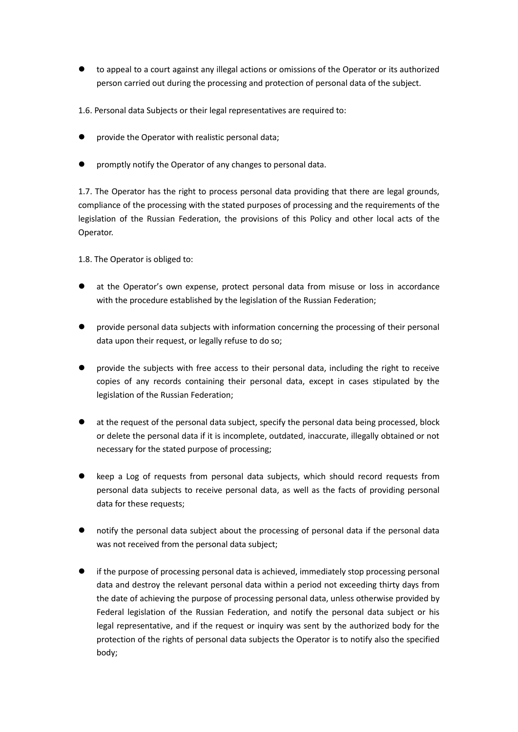to appeal to a court against any illegal actions or omissions of the Operator or its authorized person carried out during the processing and protection of personal data of the subject.

1.6. Personal data Subjects or their legal representatives are required to:

- provide the Operator with realistic personal data;
- **P** promptly notify the Operator of any changes to personal data.

1.7. The Operator has the right to process personal data providing that there are legal grounds, compliance of the processing with the stated purposes of processing and the requirements of the legislation of the Russian Federation, the provisions of this Policy and other local acts of the Operator.

1.8. The Operator is obliged to:

- at the Operator's own expense, protect personal data from misuse or loss in accordance with the procedure established by the legislation of the Russian Federation;
- provide personal data subjects with information concerning the processing of their personal data upon their request, or legally refuse to do so;
- provide the subjects with free access to their personal data, including the right to receive copies of any records containing their personal data, except in cases stipulated by the legislation of the Russian Federation;
- at the request of the personal data subject, specify the personal data being processed, block or delete the personal data if it is incomplete, outdated, inaccurate, illegally obtained or not necessary for the stated purpose of processing;
- keep a Log of requests from personal data subjects, which should record requests from personal data subjects to receive personal data, as well as the facts of providing personal data for these requests;
- notify the personal data subject about the processing of personal data if the personal data was not received from the personal data subject;
- if the purpose of processing personal data is achieved, immediately stop processing personal data and destroy the relevant personal data within a period not exceeding thirty days from the date of achieving the purpose of processing personal data, unless otherwise provided by Federal legislation of the Russian Federation, and notify the personal data subject or his legal representative, and if the request or inquiry was sent by the authorized body for the protection of the rights of personal data subjects the Operator is to notify also the specified body;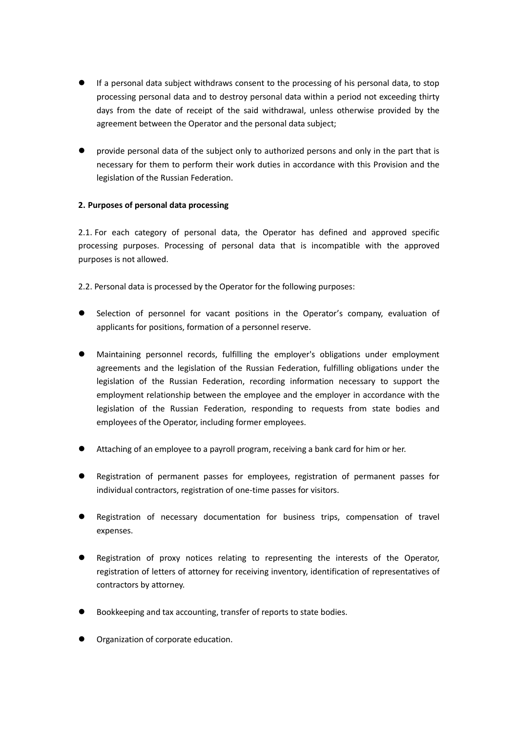- If a personal data subject withdraws consent to the processing of his personal data, to stop processing personal data and to destroy personal data within a period not exceeding thirty days from the date of receipt of the said withdrawal, unless otherwise provided by the agreement between the Operator and the personal data subject;
- provide personal data of the subject only to authorized persons and only in the part that is necessary for them to perform their work duties in accordance with this Provision and the legislation of the Russian Federation.

# **2. Purposes of personal data processing**

2.1. For each category of personal data, the Operator has defined and approved specific processing purposes. Processing of personal data that is incompatible with the approved purposes is not allowed.

2.2. Personal data is processed by the Operator for the following purposes:

- Selection of personnel for vacant positions in the Operator's company, evaluation of applicants for positions, formation of a personnel reserve.
- Maintaining personnel records, fulfilling the employer's obligations under employment agreements and the legislation of the Russian Federation, fulfilling obligations under the legislation of the Russian Federation, recording information necessary to support the employment relationship between the employee and the employer in accordance with the legislation of the Russian Federation, responding to requests from state bodies and employees of the Operator, including former employees.
- Attaching of an employee to a payroll program, receiving a bank card for him or her.
- Registration of permanent passes for employees, registration of permanent passes for individual contractors, registration of one-time passes for visitors.
- Registration of necessary documentation for business trips, compensation of travel expenses.
- Registration of proxy notices relating to representing the interests of the Operator, registration of letters of attorney for receiving inventory, identification of representatives of contractors by attorney.
- Bookkeeping and tax accounting, transfer of reports to state bodies.
- Organization of corporate education.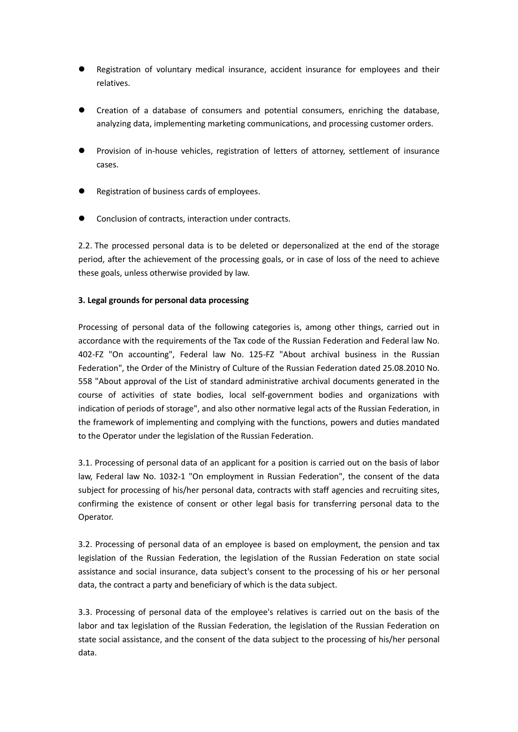- Registration of voluntary medical insurance, accident insurance for employees and their relatives.
- Creation of a database of consumers and potential consumers, enriching the database, analyzing data, implementing marketing communications, and processing customer orders.
- Provision of in-house vehicles, registration of letters of attorney, settlement of insurance cases.
- Registration of business cards of employees.
- Conclusion of contracts, interaction under contracts.

2.2. The processed personal data is to be deleted or depersonalized at the end of the storage period, after the achievement of the processing goals, or in case of loss of the need to achieve these goals, unless otherwise provided by law.

## **3. Legal grounds for personal data processing**

Processing of personal data of the following categories is, among other things, carried out in accordance with the requirements of the Tax code of the Russian Federation and Federal law No. 402-FZ "On accounting", Federal law No. 125-FZ "About archival business in the Russian Federation", the Order of the Ministry of Culture of the Russian Federation dated 25.08.2010 No. 558 "About approval of the List of standard administrative archival documents generated in the course of activities of state bodies, local self-government bodies and organizations with indication of periods of storage", and also other normative legal acts of the Russian Federation, in the framework of implementing and complying with the functions, powers and duties mandated to the Operator under the legislation of the Russian Federation.

3.1. Processing of personal data of an applicant for a position is carried out on the basis of labor law, Federal law No. 1032-1 "On employment in Russian Federation", the consent of the data subject for processing of his/her personal data, contracts with staff agencies and recruiting sites, confirming the existence of consent or other legal basis for transferring personal data to the Operator.

3.2. Processing of personal data of an employee is based on employment, the pension and tax legislation of the Russian Federation, the legislation of the Russian Federation on state social assistance and social insurance, data subject's consent to the processing of his or her personal data, the contract a party and beneficiary of which is the data subject.

3.3. Processing of personal data of the employee's relatives is carried out on the basis of the labor and tax legislation of the Russian Federation, the legislation of the Russian Federation on state social assistance, and the consent of the data subject to the processing of his/her personal data.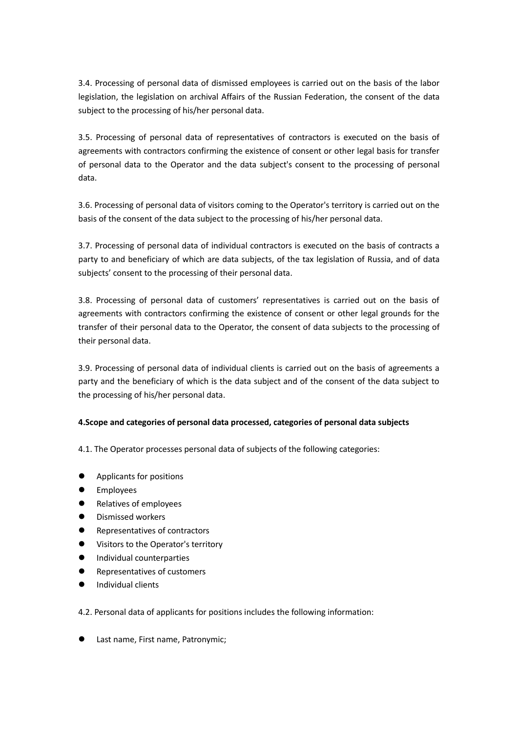3.4. Processing of personal data of dismissed employees is carried out on the basis of the labor legislation, the legislation on archival Affairs of the Russian Federation, the consent of the data subject to the processing of his/her personal data.

3.5. Processing of personal data of representatives of contractors is executed on the basis of agreements with contractors confirming the existence of consent or other legal basis for transfer of personal data to the Operator and the data subject's consent to the processing of personal data.

3.6. Processing of personal data of visitors coming to the Operator's territory is carried out on the basis of the consent of the data subject to the processing of his/her personal data.

3.7. Processing of personal data of individual contractors is executed on the basis of contracts a party to and beneficiary of which are data subjects, of the tax legislation of Russia, and of data subjects' consent to the processing of their personal data.

3.8. Processing of personal data of customers' representatives is carried out on the basis of agreements with contractors confirming the existence of consent or other legal grounds for the transfer of their personal data to the Operator, the consent of data subjects to the processing of their personal data.

3.9. Processing of personal data of individual clients is carried out on the basis of agreements a party and the beneficiary of which is the data subject and of the consent of the data subject to the processing of his/her personal data.

## **4.Scope and categories of personal data processed, categories of personal data subjects**

4.1. The Operator processes personal data of subjects of the following categories:

- Applicants for positions
- **•** Employees
- Relatives of employees
- Dismissed workers
- Representatives of contractors
- Visitors to the Operator's territory
- **Individual counterparties**
- Representatives of customers
- Individual clients

4.2. Personal data of applicants for positions includes the following information:

**•** Last name, First name, Patronymic;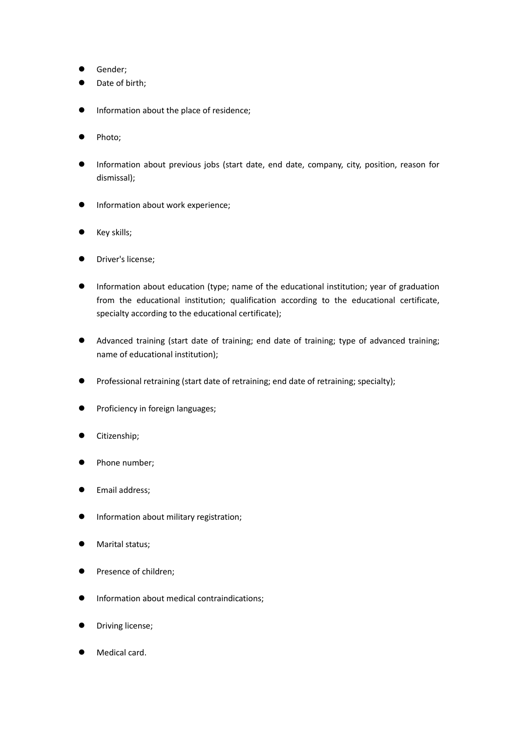- **•** Gender;
- Date of birth;
- **•** Information about the place of residence;
- Photo;
- Information about previous jobs (start date, end date, company, city, position, reason for dismissal);
- **•** Information about work experience;
- Key skills;
- Driver's license;
- Information about education (type; name of the educational institution; year of graduation from the educational institution; qualification according to the educational certificate, specialty according to the educational certificate);
- Advanced training (start date of training; end date of training; type of advanced training; name of educational institution);
- Professional retraining (start date of retraining; end date of retraining; specialty);
- Proficiency in foreign languages;
- Citizenship;
- Phone number;
- Email address;
- Information about military registration;
- Marital status;
- Presence of children;
- Information about medical contraindications;
- Driving license;
- Medical card.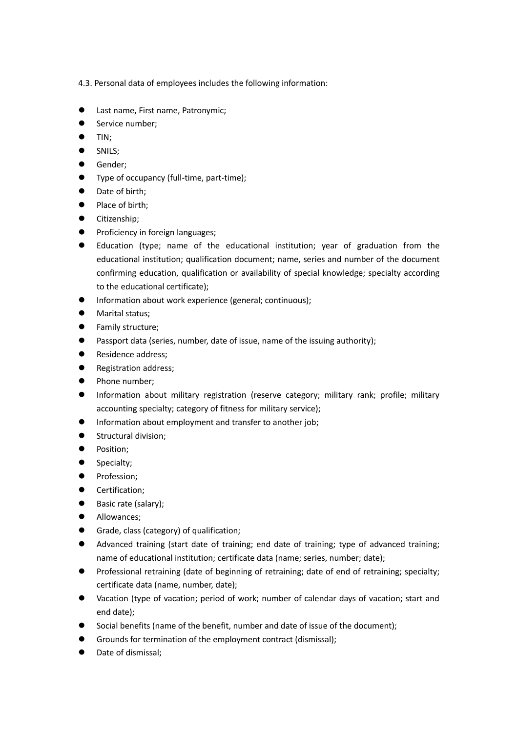4.3. Personal data of employees includes the following information:

- **•** Last name, First name, Patronymic;
- Service number;
- $\bullet$  TIN:
- **SNILS:**
- Gender;
- Type of occupancy (full-time, part-time);
- Date of birth;
- Place of birth;
- **•** Citizenship;
- Proficiency in foreign languages;
- Education (type; name of the educational institution; year of graduation from the educational institution; qualification document; name, series and number of the document confirming education, qualification or availability of special knowledge; specialty according to the educational certificate);
- Information about work experience (general; continuous);
- **•** Marital status;
- Family structure;
- Passport data (series, number, date of issue, name of the issuing authority);
- Residence address;
- **•** Registration address;
- Phone number;
- Information about military registration (reserve category; military rank; profile; military accounting specialty; category of fitness for military service);
- Information about employment and transfer to another job;
- **Structural division;**
- **•** Position;
- Specialty;
- Profession;
- **•** Certification;
- Basic rate (salary);
- Allowances;
- Grade, class (category) of qualification;
- Advanced training (start date of training; end date of training; type of advanced training; name of educational institution; certificate data (name; series, number; date);
- Professional retraining (date of beginning of retraining; date of end of retraining; specialty; certificate data (name, number, date);
- Vacation (type of vacation; period of work; number of calendar days of vacation; start and end date);
- Social benefits (name of the benefit, number and date of issue of the document);
- Grounds for termination of the employment contract (dismissal);
- **•** Date of dismissal: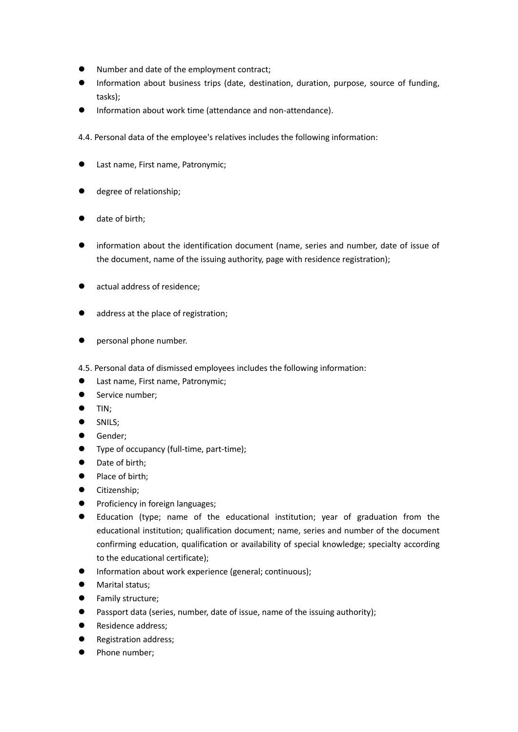- Number and date of the employment contract;
- Information about business trips (date, destination, duration, purpose, source of funding, tasks);
- **•** Information about work time (attendance and non-attendance).

4.4. Personal data of the employee's relatives includes the following information:

- Last name, First name, Patronymic;
- degree of relationship;
- date of birth;
- information about the identification document (name, series and number, date of issue of the document, name of the issuing authority, page with residence registration);
- actual address of residence;
- address at the place of registration;
- **•** personal phone number.

4.5. Personal data of dismissed employees includes the following information:

- **•** Last name, First name, Patronymic;
- Service number;
- $\bullet$  TIN;
- **SNILS:**
- **•** Gender;
- Type of occupancy (full-time, part-time);
- Date of birth:
- Place of birth;
- **•** Citizenship;
- **•** Proficiency in foreign languages;
- Education (type; name of the educational institution; year of graduation from the educational institution; qualification document; name, series and number of the document confirming education, qualification or availability of special knowledge; specialty according to the educational certificate);
- Information about work experience (general; continuous);
- Marital status;
- **•** Family structure;
- Passport data (series, number, date of issue, name of the issuing authority);
- Residence address;
- Registration address;
- Phone number;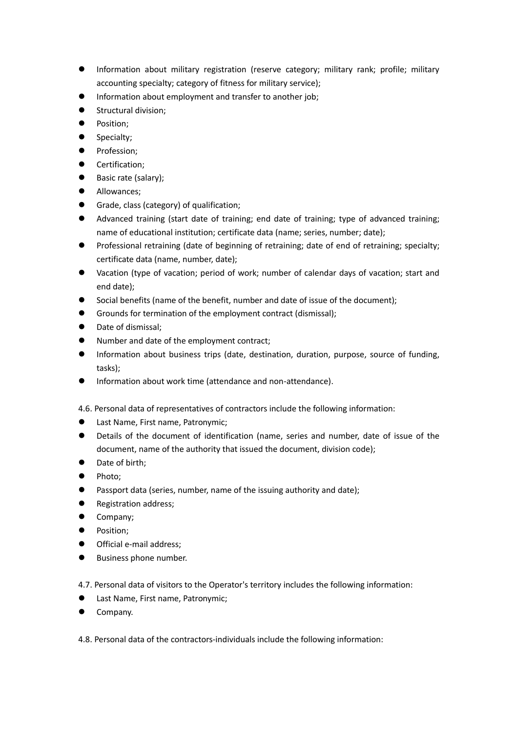- Information about military registration (reserve category; military rank; profile; military accounting specialty; category of fitness for military service);
- Information about employment and transfer to another job;
- Structural division;
- Position;
- Specialty;
- **•** Profession;
- Certification;
- Basic rate (salary);
- **Allowances**;
- Grade, class (category) of qualification;
- Advanced training (start date of training; end date of training; type of advanced training; name of educational institution; certificate data (name; series, number; date);
- Professional retraining (date of beginning of retraining; date of end of retraining; specialty; certificate data (name, number, date);
- Vacation (type of vacation; period of work; number of calendar days of vacation; start and end date);
- Social benefits (name of the benefit, number and date of issue of the document);
- Grounds for termination of the employment contract (dismissal);
- Date of dismissal;
- Number and date of the employment contract;
- Information about business trips (date, destination, duration, purpose, source of funding, tasks);
- $\bullet$  Information about work time (attendance and non-attendance).
- 4.6. Personal data of representatives of contractors include the following information:
- Last Name, First name, Patronymic;
- Details of the document of identification (name, series and number, date of issue of the document, name of the authority that issued the document, division code);
- Date of birth:
- Photo;
- **•** Passport data (series, number, name of the issuing authority and date);
- Registration address;
- Company;
- **•** Position;
- Official e-mail address;
- Business phone number.

4.7. Personal data of visitors to the Operator's territory includes the following information:

- **•** Last Name, First name, Patronymic;
- Company.

4.8. Personal data of the contractors-individuals include the following information: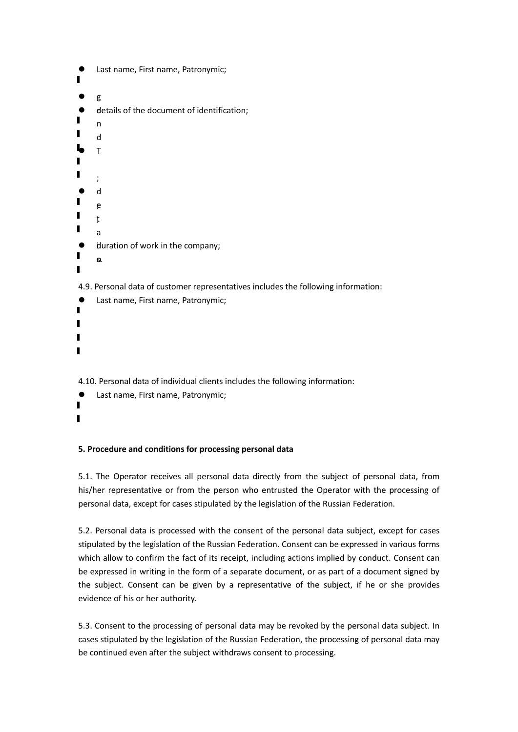```
 Last name, First name, Patronymic;
\blacksquare g
 e
 details of the document of identification;
П
      n
\blacksquared
L T
\blacksquare;
       d
П
       e
;
\blacksquaret
;
П
      a
 \bullet duration of work in the company;
П
       o
s.
\blacksquare4.9. Personal data of customer representatives includes the following information:
       Last name, First name, Patronymic;
```
4.10. Personal data of individual clients includes the following information:

 Last name, First name, Patronymic;  $\blacksquare$  $\blacksquare$ 

#### **5. Procedure and conditions for processing personal data**

5.1. The Operator receives all personal data directly from the subject of personal data, from his/her representative or from the person who entrusted the Operator with the processing of personal data, except for cases stipulated by the legislation of the Russian Federation.

5.2. Personal data is processed with the consent of the personal data subject, except for cases stipulated by the legislation of the Russian Federation. Consent can be expressed in various forms which allow to confirm the fact of its receipt, including actions implied by conduct. Consent can be expressed in writing in the form of a separate document, or as part of a document signed by the subject. Consent can be given by a representative of the subject, if he or she provides evidence of his or her authority.

5.3. Consent to the processing of personal data may be revoked by the personal data subject. In cases stipulated by the legislation of the Russian Federation, the processing of personal data may be continued even after the subject withdraws consent to processing.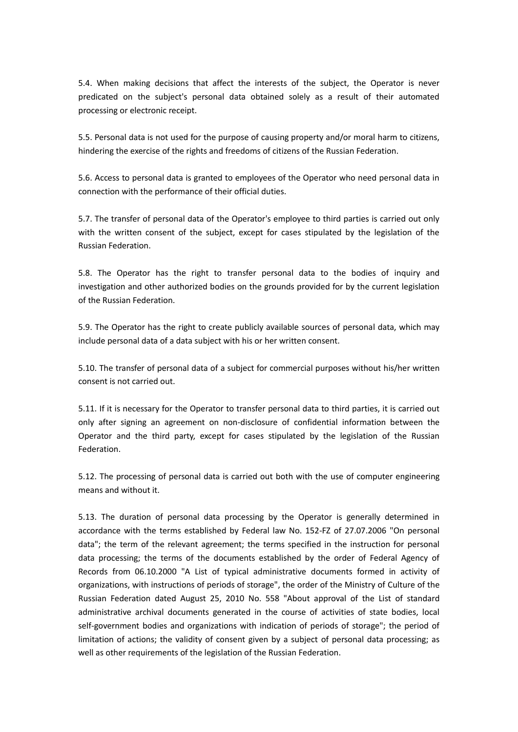5.4. When making decisions that affect the interests of the subject, the Operator is never predicated on the subject's personal data obtained solely as a result of their automated processing or electronic receipt.

5.5. Personal data is not used for the purpose of causing property and/or moral harm to citizens, hindering the exercise of the rights and freedoms of citizens of the Russian Federation.

5.6. Access to personal data is granted to employees of the Operator who need personal data in connection with the performance of their official duties.

5.7. The transfer of personal data of the Operator's employee to third parties is carried out only with the written consent of the subject, except for cases stipulated by the legislation of the Russian Federation.

5.8. The Operator has the right to transfer personal data to the bodies of inquiry and investigation and other authorized bodies on the grounds provided for by the current legislation of the Russian Federation.

5.9. The Operator has the right to create publicly available sources of personal data, which may include personal data of a data subject with his or her written consent.

5.10. The transfer of personal data of a subject for commercial purposes without his/her written consent is not carried out.

5.11. If it is necessary for the Operator to transfer personal data to third parties, it is carried out only after signing an agreement on non-disclosure of confidential information between the Operator and the third party, except for cases stipulated by the legislation of the Russian Federation.

5.12. The processing of personal data is carried out both with the use of computer engineering means and without it.

5.13. The duration of personal data processing by the Operator is generally determined in accordance with the terms established by Federal law No. 152-FZ of 27.07.2006 "On personal data"; the term of the relevant agreement; the terms specified in the instruction for personal data processing; the terms of the documents established by the order of Federal Agency of Records from 06.10.2000 "A List of typical administrative documents formed in activity of organizations, with instructions of periods of storage", the order of the Ministry of Culture of the Russian Federation dated August 25, 2010 No. 558 "About approval of the List of standard administrative archival documents generated in the course of activities of state bodies, local self-government bodies and organizations with indication of periods of storage"; the period of limitation of actions; the validity of consent given by a subject of personal data processing; as well as other requirements of the legislation of the Russian Federation.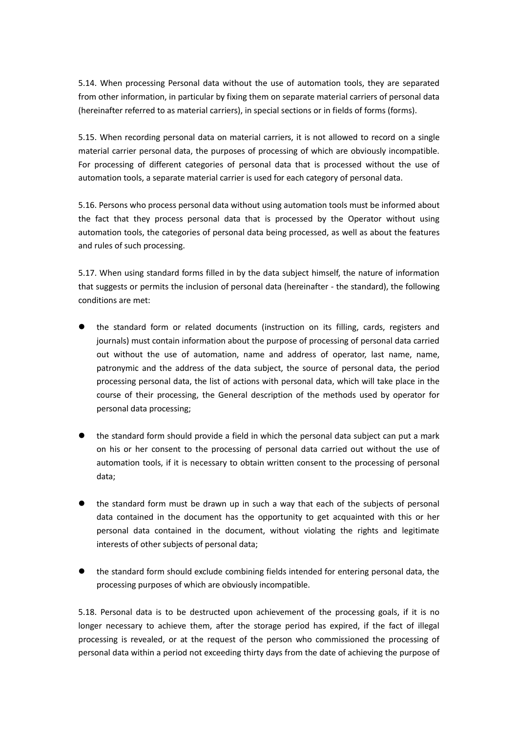5.14. When processing Personal data without the use of automation tools, they are separated from other information, in particular by fixing them on separate material carriers of personal data (hereinafter referred to as material carriers), in special sections or in fields of forms (forms).

5.15. When recording personal data on material carriers, it is not allowed to record on a single material carrier personal data, the purposes of processing of which are obviously incompatible. For processing of different categories of personal data that is processed without the use of automation tools, a separate material carrier is used for each category of personal data.

5.16. Persons who process personal data without using automation tools must be informed about the fact that they process personal data that is processed by the Operator without using automation tools, the categories of personal data being processed, as well as about the features and rules of such processing.

5.17. When using standard forms filled in by the data subject himself, the nature of information that suggests or permits the inclusion of personal data (hereinafter - the standard), the following conditions are met:

- the standard form or related documents (instruction on its filling, cards, registers and journals) must contain information about the purpose of processing of personal data carried out without the use of automation, name and address of operator, last name, name, patronymic and the address of the data subject, the source of personal data, the period processing personal data, the list of actions with personal data, which will take place in the course of their processing, the General description of the methods used by operator for personal data processing;
- the standard form should provide a field in which the personal data subject can put a mark on his or her consent to the processing of personal data carried out without the use of automation tools, if it is necessary to obtain written consent to the processing of personal data;
- the standard form must be drawn up in such a way that each of the subjects of personal data contained in the document has the opportunity to get acquainted with this or her personal data contained in the document, without violating the rights and legitimate interests of other subjects of personal data;
- the standard form should exclude combining fields intended for entering personal data, the processing purposes of which are obviously incompatible.

5.18. Personal data is to be destructed upon achievement of the processing goals, if it is no longer necessary to achieve them, after the storage period has expired, if the fact of illegal processing is revealed, or at the request of the person who commissioned the processing of personal data within a period not exceeding thirty days from the date of achieving the purpose of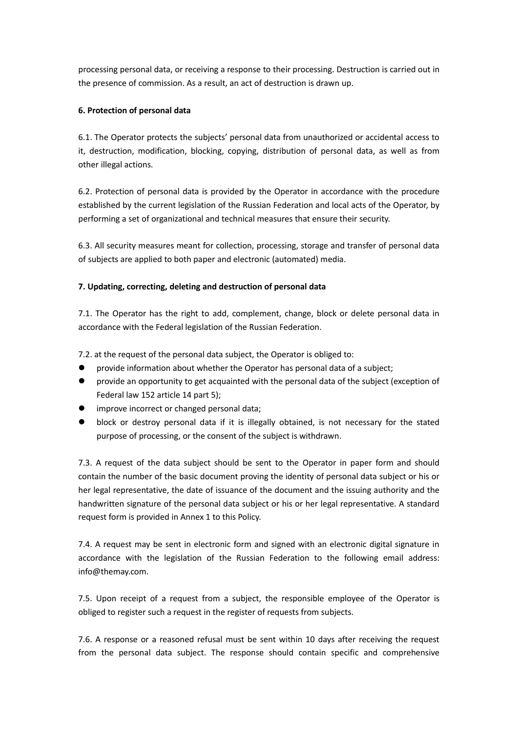processing personal data, or receiving a response to their processing. Destruction is carried out in the presence of commission. As a result, an act of destruction is drawn up.

## **6. Protection of personal data**

6.1. The Operator protects the subjects' personal data from unauthorized or accidental access to it, destruction, modification, blocking, copying, distribution of personal data, as well as from other illegal actions.

6.2. Protection of personal data is provided by the Operator in accordance with the procedure established by the current legislation of the Russian Federation and local acts of the Operator, by performing a set of organizational and technical measures that ensure their security.

6.3. All security measures meant for collection, processing, storage and transfer of personal data of subjects are applied to both paper and electronic (automated) media.

## **7. Updating, correcting, deleting and destruction of personal data**

7.1. The Operator has the right to add, complement, change, block or delete personal data in accordance with the Federal legislation of the Russian Federation.

7.2. at the request of the personal data subject, the Operator is obliged to:

- provide information about whether the Operator has personal data of a subject;
- provide an opportunity to get acquainted with the personal data of the subject (exception of Federal law 152 article 14 part 5);
- improve incorrect or changed personal data;
- block or destroy personal data if it is illegally obtained, is not necessary for the stated purpose of processing, or the consent of the subject is withdrawn.

7.3. A request of the data subject should be sent to the Operator in paper form and should contain the number of the basic document proving the identity of personal data subject or his or her legal representative, the date of issuance of the document and the issuing authority and the handwritten signature of the personal data subject or his or her legal representative. A standard request form is provided in Annex 1 to this Policy.

7.4. A request may be sent in electronic form and signed with an electronic digital signature in accordance with the legislation of the Russian Federation to the following email address: info@themay.com.

7.5. Upon receipt of a request from a subject, the responsible employee of the Operator is obliged to register such a request in the register of requests from subjects.

7.6. A response or a reasoned refusal must be sent within 10 days after receiving the request from the personal data subject. The response should contain specific and comprehensive